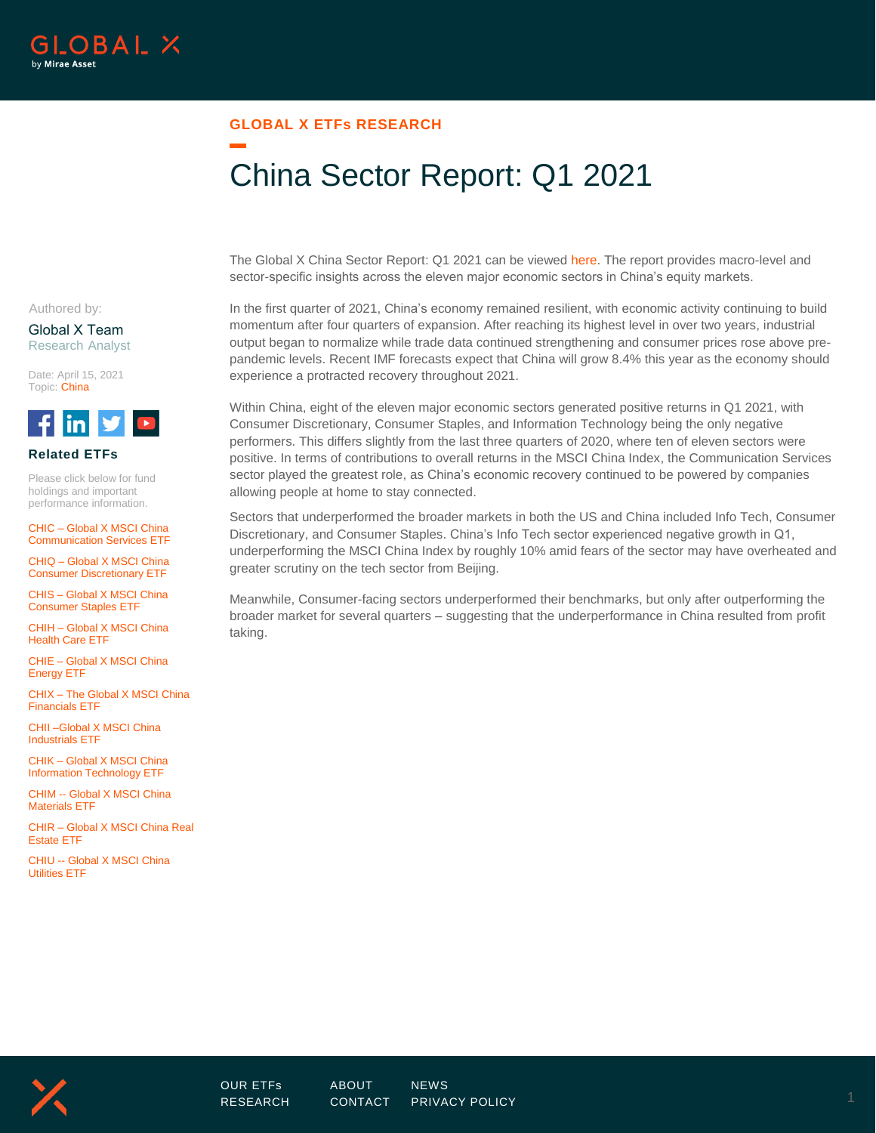

### **GLOBAL X ETFs RESEARCH**

# China Sector Report: Q1 2021

The Global X China Sector Report: Q1 2021 can be viewed [here.](https://www.globalxetfs.com/content/files/Q1-2021-China-Sector-Report.pdf) The report provides macro-level and sector-specific insights across the eleven major economic sectors in China's equity markets.

Authored by:

Global X Team Research Analyst

Date: April 15, 2021 Topic: China



### **Related ETFs**

Please click below for fund holdings and important performance information.

CHIC – [Global X MSCI China](https://www.globalxetfs.com/funds/chic/)  [Communication Services ETF](https://www.globalxetfs.com/funds/chic/)

CHIQ – [Global X MSCI China](https://www.globalxetfs.com/funds/chiq/)  [Consumer Discretionary ETF](https://www.globalxetfs.com/funds/chiq/)

CHIS – [Global X MSCI China](https://www.globalxetfs.com/funds/chis/)  [Consumer Staples ETF](https://www.globalxetfs.com/funds/chis/)

CHIH – [Global X MSCI China](https://www.globalxetfs.com/funds/chih/)  [Health Care ETF](https://www.globalxetfs.com/funds/chih/)

CHIE – [Global X MSCI China](https://www.globalxetfs.com/funds/chie/)  [Energy ETF](https://www.globalxetfs.com/funds/chie/)

CHIX – [The Global X MSCI China](https://www.globalxetfs.com/funds/chix/)  [Financials ETF](https://www.globalxetfs.com/funds/chix/)

[CHII –Global X MSCI China](https://www.globalxetfs.com/funds/chii/)  [Industrials ETF](https://www.globalxetfs.com/funds/chii/)

CHIK – [Global X MSCI China](https://www.globalxetfs.com/funds/chik/)  [Information Technology ETF](https://www.globalxetfs.com/funds/chik/)

CHIM -- [Global X MSCI China](https://www.globalxetfs.com/funds/chim/)  [Materials ETF](https://www.globalxetfs.com/funds/chim/)

CHIR – [Global X MSCI China Real](https://www.globalxetfs.com/funds/chir/)  [Estate ETF](https://www.globalxetfs.com/funds/chir/)

CHIU -- [Global X MSCI China](https://www.globalxetfs.com/funds/chiu/)  [Utilities ETF](https://www.globalxetfs.com/funds/chiu/)

In the first quarter of 2021, China's economy remained resilient, with economic activity continuing to build momentum after four quarters of expansion. After reaching its highest level in over two years, industrial output began to normalize while trade data continued strengthening and consumer prices rose above prepandemic levels. Recent IMF forecasts expect that China will grow 8.4% this year as the economy should experience a protracted recovery throughout 2021.

Within China, eight of the eleven major economic sectors generated positive returns in Q1 2021, with Consumer Discretionary, Consumer Staples, and Information Technology being the only negative performers. This differs slightly from the last three quarters of 2020, where ten of eleven sectors were positive. In terms of contributions to overall returns in the MSCI China Index, the Communication Services sector played the greatest role, as China's economic recovery continued to be powered by companies allowing people at home to stay connected.

Sectors that underperformed the broader markets in both the US and China included Info Tech, Consumer Discretionary, and Consumer Staples. China's Info Tech sector experienced negative growth in Q1, underperforming the MSCI China Index by roughly 10% amid fears of the sector may have overheated and greater scrutiny on the tech sector from Beijing.

Meanwhile, Consumer-facing sectors underperformed their benchmarks, but only after outperforming the broader market for several quarters – suggesting that the underperformance in China resulted from profit taking.

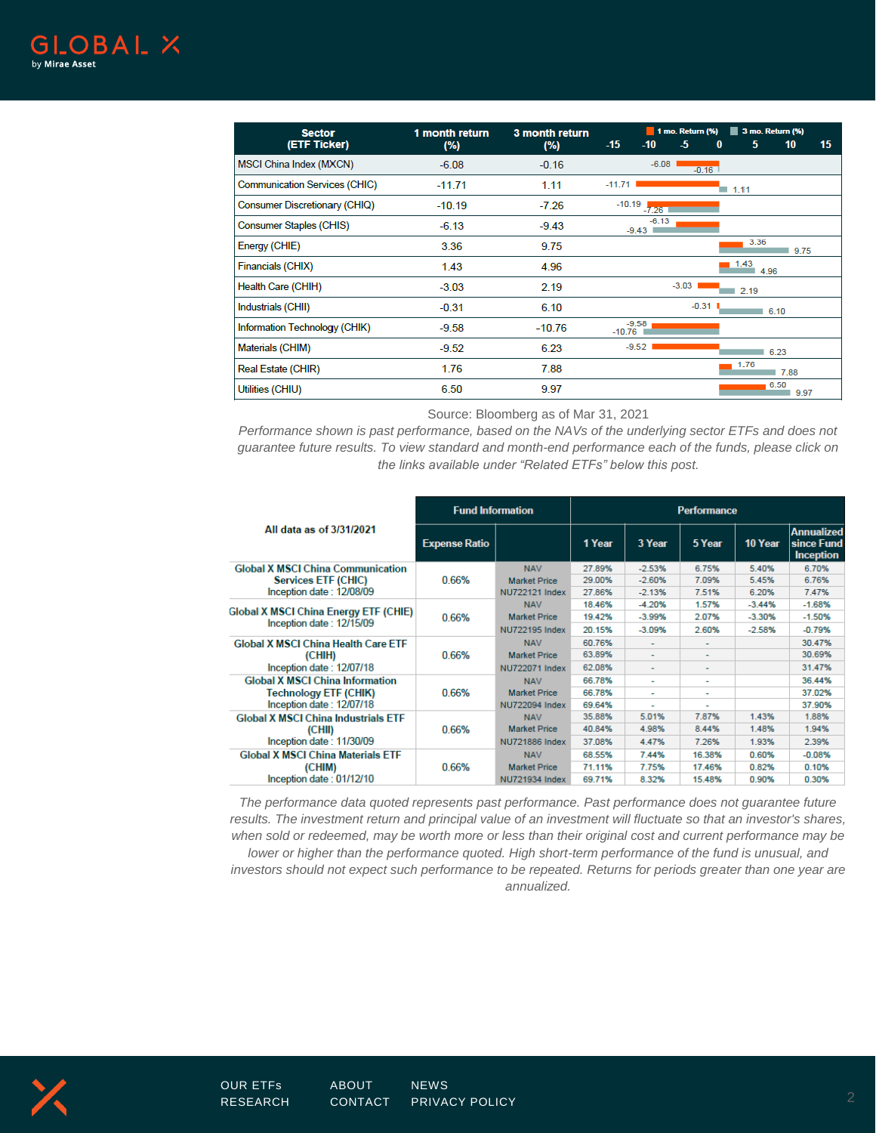| <b>Sector</b>                        | 1 month return | 3 month return | 1 mo. Return (%)<br>3 mo. Return (%) |                    |         |           |                     |              |    |
|--------------------------------------|----------------|----------------|--------------------------------------|--------------------|---------|-----------|---------------------|--------------|----|
| (ETF Ticker)                         | (%)            | (%)            | $-15$                                | $-10$              | -5      | $\bf{0}$  | 5                   | 10           | 15 |
| MSCI China Index (MXCN)              | $-6.08$        | $-0.16$        |                                      | $-6.08$            |         | $-0.16$   |                     |              |    |
| <b>Communication Services (CHIC)</b> | $-11.71$       | 1.11           | $-11.71$                             |                    |         |           | $\blacksquare$ 1.11 |              |    |
| <b>Consumer Discretionary (CHIQ)</b> | $-10.19$       | $-7.26$        |                                      | $-10.19$ $-7.26$   |         |           |                     |              |    |
| <b>Consumer Staples (CHIS)</b>       | $-6.13$        | $-9.43$        |                                      | $-6.13$<br>$-9.43$ |         |           |                     |              |    |
| Energy (CHIE)                        | 3.36           | 9.75           |                                      |                    |         |           | 3.36                | 9.75         |    |
| Financials (CHIX)                    | 1.43           | 4.96           |                                      |                    |         |           | 1.43<br>4.96        |              |    |
| Health Care (CHIH)                   | $-3.03$        | 2.19           |                                      |                    | $-3.03$ |           | 2.19                |              |    |
| Industrials (CHII)                   | $-0.31$        | 6.10           |                                      |                    |         | $-0.31$ L |                     | 16.10        |    |
| Information Technology (CHIK)        | $-9.58$        | $-10.76$       | $-9.58$<br>$-10.76$                  |                    |         |           |                     |              |    |
| Materials (CHIM)                     | $-9.52$        | 6.23           |                                      | $-9.52$            |         |           |                     | 6.23         |    |
| Real Estate (CHIR)                   | 1.76           | 7.88           |                                      |                    |         |           | 1.76                | 7.88         |    |
| Utilities (CHIU)                     | 6.50           | 9.97           |                                      |                    |         |           |                     | 6.50<br>9.97 |    |

Source: Bloomberg as of Mar 31, 2021

*Performance shown is past performance, based on the NAVs of the underlying sector ETFs and does not guarantee future results. To view standard and month-end performance each of the funds, please click on the links available under "Related ETFs" below this post.*

|                                                                          | <b>Fund Information</b> |                       | <b>Performance</b> |                          |                          |          |                                                     |  |
|--------------------------------------------------------------------------|-------------------------|-----------------------|--------------------|--------------------------|--------------------------|----------|-----------------------------------------------------|--|
| All data as of 3/31/2021                                                 | <b>Expense Ratio</b>    |                       | 1 Year             | 3 Year                   | 5 Year                   | 10 Year  | <b>Annualized</b><br>since Fund<br><b>Inception</b> |  |
| <b>Global X MSCI China Communication</b>                                 |                         | <b>NAV</b>            | 27.89%             | $-2.53%$                 | 6.75%                    | 5.40%    | 6.70%                                               |  |
| <b>Services ETF (CHIC)</b><br>Inception date: 12/08/09                   | 0.66%                   | <b>Market Price</b>   | 29.00%             | $-2.60%$                 | 7.09%                    | 5.45%    | 6.76%                                               |  |
|                                                                          |                         | NU722121 Index        | 27.86%             | $-2.13%$                 | 7.51%                    | 6.20%    | 7.47%                                               |  |
| <b>Global X MSCI China Energy ETF (CHIE)</b><br>Inception date: 12/15/09 | 0.66%                   | <b>NAV</b>            | 18.46%             | $-4.20%$                 | 1.57%                    | $-3.44%$ | $-1.68%$                                            |  |
|                                                                          |                         | <b>Market Price</b>   | 19.42%             | $-3.99%$                 | 2.07%                    | $-3.30%$ | $-1.50%$                                            |  |
|                                                                          |                         | NU722195 Index        | 20.15%             | $-3.09%$                 | 2.60%                    | $-2.58%$ | $-0.79%$                                            |  |
| <b>Global X MSCI China Health Care ETF</b>                               |                         | <b>NAV</b>            | 60.76%             | $\sim$                   |                          |          | 30.47%                                              |  |
| (CHIH)                                                                   | 0.66%                   | <b>Market Price</b>   | 63.89%             | $\overline{\phantom{a}}$ | $\overline{\phantom{0}}$ |          | 30.69%                                              |  |
| Inception date: 12/07/18                                                 |                         | <b>NU722071 Index</b> | 62.08%             | ٠                        | ۰                        |          | 31.47%                                              |  |
| <b>Global X MSCI China Information</b>                                   | 0.66%                   | <b>NAV</b>            | 66.78%             | $\sim$                   | ۰                        |          | 36.44%                                              |  |
| Technology ETF (CHIK)                                                    |                         | <b>Market Price</b>   | 66.78%             | $\sim$                   | ٠                        |          | 37.02%                                              |  |
| Inception date: 12/07/18                                                 |                         | NU722094 Index        | 69.64%             |                          |                          |          | 37.90%                                              |  |
| <b>Global X MSCI China Industrials ETF</b>                               | 0.66%                   | <b>NAV</b>            | 35.88%             | 5.01%                    | 7.87%                    | 1.43%    | 1.88%                                               |  |
| (CHII)                                                                   |                         | <b>Market Price</b>   | 40.84%             | 4.98%                    | 8.44%                    | 1.48%    | 1.94%                                               |  |
| Inception date: 11/30/09                                                 |                         | <b>NU721886 Index</b> | 37.08%             | 4.47%                    | 7.26%                    | 1.93%    | 2.39%                                               |  |
| <b>Global X MSCI China Materials ETF</b>                                 |                         | <b>NAV</b>            | 68.55%             | 7.44%                    | 16.38%                   | 0.60%    | $-0.08%$                                            |  |
| (CHIM)                                                                   | 0.66%                   | <b>Market Price</b>   | 71.11%             | 7.75%                    | 17.46%                   | 0.82%    | 0.10%                                               |  |
| Inception date: 01/12/10                                                 |                         | NU721934 Index        | 69.71%             | 8.32%                    | 15.48%                   | 0.90%    | 0.30%                                               |  |

*The performance data quoted represents past performance. Past performance does not guarantee future*  results. The investment return and principal value of an investment will fluctuate so that an investor's shares, *when sold or redeemed, may be worth more or less than their original cost and current performance may be lower or higher than the performance quoted. High short-term performance of the fund is unusual, and investors should not expect such performance to be repeated. Returns for periods greater than one year are annualized.* 

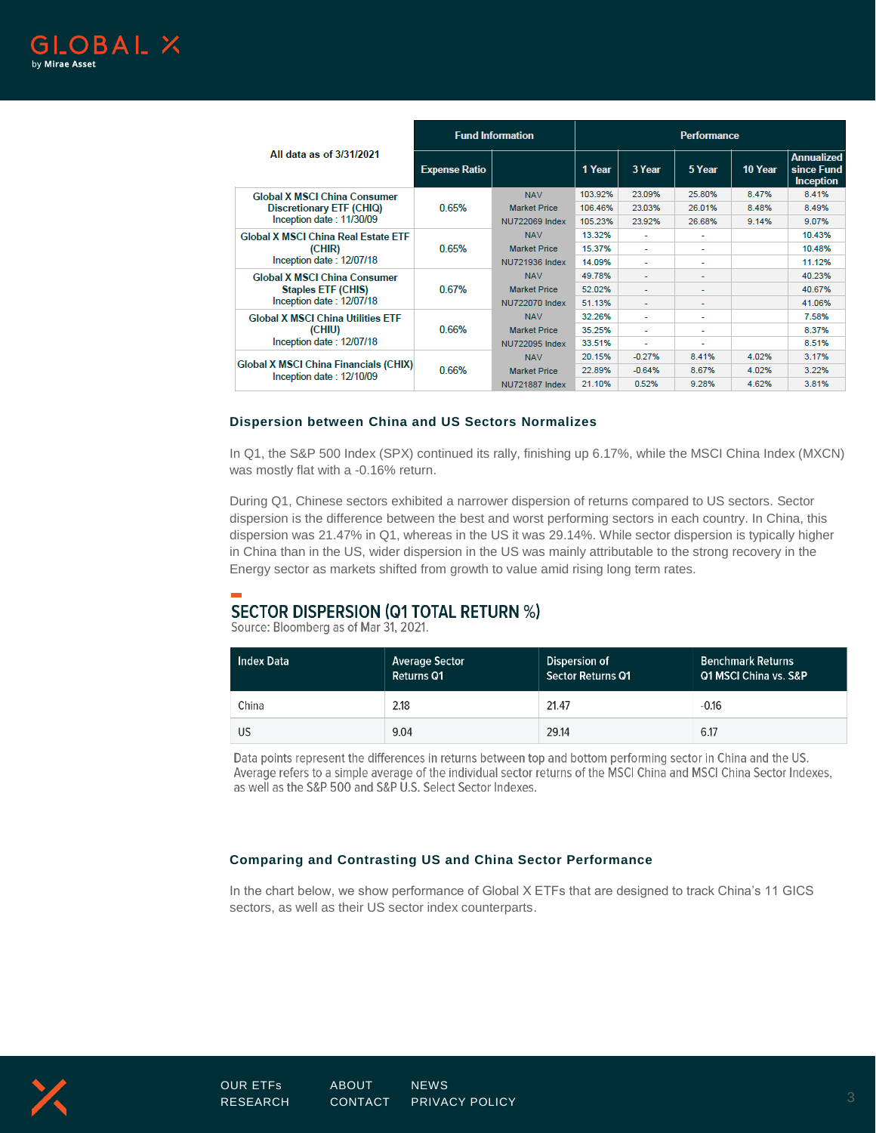

|                                                                                              | <b>Fund Information</b> |                       | <b>Performance</b> |                |        |         |                                                     |  |
|----------------------------------------------------------------------------------------------|-------------------------|-----------------------|--------------------|----------------|--------|---------|-----------------------------------------------------|--|
| All data as of 3/31/2021                                                                     | <b>Expense Ratio</b>    |                       | 1 Year             | 3 Year         | 5 Year | 10 Year | <b>Annualized</b><br>since Fund<br><b>Inception</b> |  |
| <b>Global X MSCI China Consumer</b><br>Discretionary ETF (CHIQ)<br>Inception date: 11/30/09  | 0.65%                   | <b>NAV</b>            | 103.92%            | 23.09%         | 25.80% | 8.47%   | 8.41%                                               |  |
|                                                                                              |                         | <b>Market Price</b>   | 106.46%            | 23.03%         | 26.01% | 8.48%   | 8.49%                                               |  |
|                                                                                              |                         | NU722069 Index        | 105.23%            | 23.92%         | 26.68% | 9.14%   | 9.07%                                               |  |
| <b>Global X MSCI China Real Estate ETF</b><br>(CHIR)<br>Inception date: 12/07/18             | 0.65%                   | <b>NAV</b>            | 13.32%             | ۰              | ۰      |         | 10.43%                                              |  |
|                                                                                              |                         | <b>Market Price</b>   | 15.37%             | ٠              | ٠      |         | 10.48%                                              |  |
|                                                                                              |                         | NU721936 Index        | 14.09%             | ٠              | ۰      |         | 11.12%                                              |  |
| <b>Global X MSCI China Consumer</b><br><b>Staples ETF (CHIS)</b><br>Inception date: 12/07/18 | 0.67%                   | <b>NAV</b>            | 49.78%             |                | ٠      |         | 40.23%                                              |  |
|                                                                                              |                         | <b>Market Price</b>   | 52.02%             | ٠              | ٠      |         | 40.67%                                              |  |
|                                                                                              |                         | <b>NU722070 Index</b> | 51.13%             | ۰              | ۰      |         | 41.06%                                              |  |
| <b>Global X MSCI China Utilities ETF</b><br>(CHIU)<br>Inception date: 12/07/18               | 0.66%                   | <b>NAV</b>            | 32.26%             | ٠              | ۰      |         | 7.58%                                               |  |
|                                                                                              |                         | <b>Market Price</b>   | 35.25%             | ۰.             | ٠      |         | 8.37%                                               |  |
|                                                                                              |                         | <b>NU722095 Index</b> | 33.51%             | $\overline{a}$ | ٠      |         | 8.51%                                               |  |
| <b>Global X MSCI China Financials (CHIX)</b><br>Inception date: 12/10/09                     | 0.66%                   | <b>NAV</b>            | 20.15%             | $-0.27%$       | 8.41%  | 4.02%   | 3.17%                                               |  |
|                                                                                              |                         | <b>Market Price</b>   | 22.89%             | $-0.64%$       | 8.67%  | 4.02%   | 3.22%                                               |  |
|                                                                                              |                         | <b>NU721887 Index</b> | 21.10%             | 0.52%          | 9.28%  | 4.62%   | 3.81%                                               |  |

#### **Dispersion between China and US Sectors Normalizes**

In Q1, the S&P 500 Index (SPX) continued its rally, finishing up 6.17%, while the MSCI China Index (MXCN) was mostly flat with a -0.16% return.

During Q1, Chinese sectors exhibited a narrower dispersion of returns compared to US sectors. Sector dispersion is the difference between the best and worst performing sectors in each country. In China, this dispersion was 21.47% in Q1, whereas in the US it was 29.14%. While sector dispersion is typically higher in China than in the US, wider dispersion in the US was mainly attributable to the strong recovery in the Energy sector as markets shifted from growth to value amid rising long term rates.

## **SECTOR DISPERSION (Q1 TOTAL RETURN %)**

Source: Bloomberg as of Mar 31, 2021.

| Index Data | <b>Average Sector</b><br>Returns Q1 | Dispersion of<br>Sector Returns Q1 | <b>Benchmark Returns</b><br><b>Q1 MSCI China vs. S&amp;P</b> |
|------------|-------------------------------------|------------------------------------|--------------------------------------------------------------|
| China      | 2.18                                | 21.47                              | $-0.16$                                                      |
| US         | 9.04                                | 29.14                              | 6.17                                                         |

Data points represent the differences in returns between top and bottom performing sector in China and the US. Average refers to a simple average of the individual sector returns of the MSCI China and MSCI China Sector Indexes, as well as the S&P 500 and S&P U.S. Select Sector Indexes.

### **Comparing and Contrasting US and China Sector Performance**

In the chart below, we show performance of Global X ETFs that are designed to track China's 11 GICS sectors, as well as their US sector index counterparts.

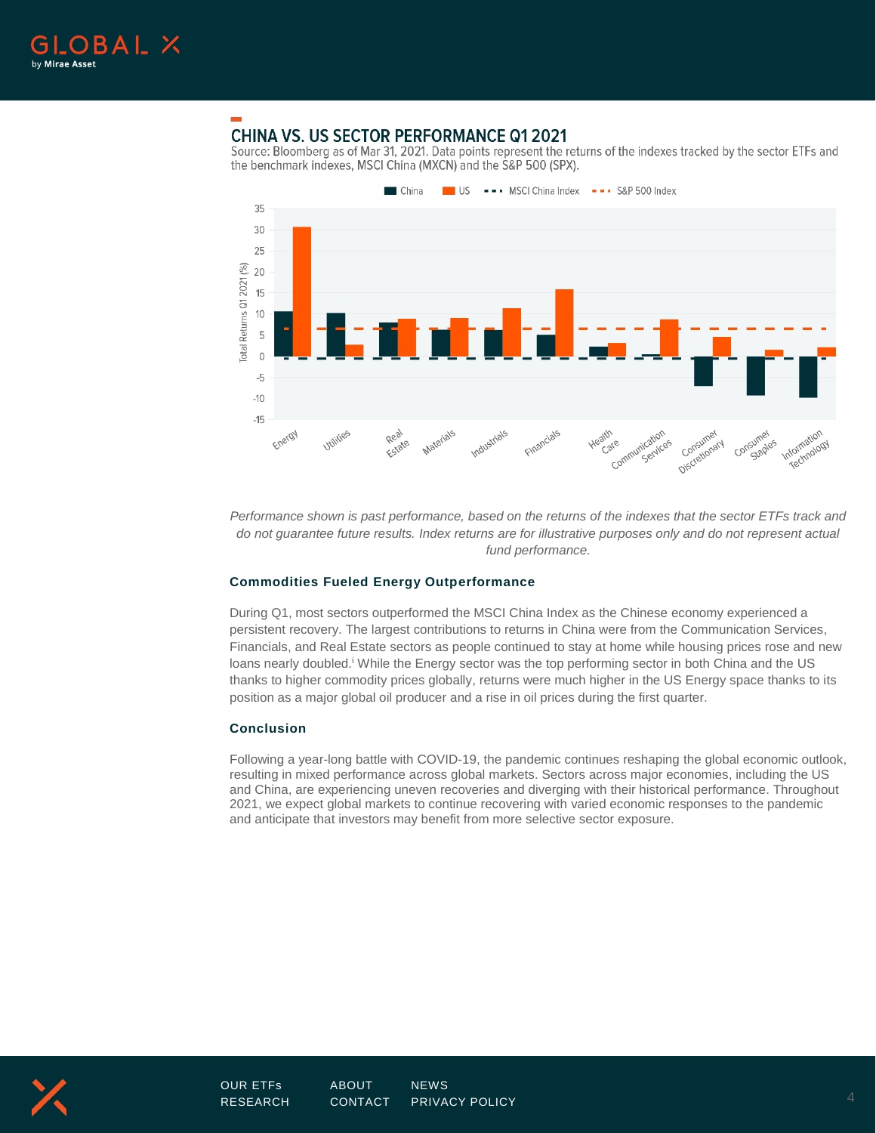

### **CHINA VS. US SECTOR PERFORMANCE Q1 2021**

Source: Bloomberg as of Mar 31, 2021. Data points represent the returns of the indexes tracked by the sector ETFs and the benchmark indexes, MSCI China (MXCN) and the S&P 500 (SPX).



*Performance shown is past performance, based on the returns of the indexes that the sector ETFs track and do not guarantee future results. Index returns are for illustrative purposes only and do not represent actual fund performance.* 

### **Commodities Fueled Energy Outperformance**

During Q1, most sectors outperformed the MSCI China Index as the Chinese economy experienced a persistent recovery. The largest contributions to returns in China were from the Communication Services, Financials, and Real Estate sectors as people continued to stay at home while housing prices rose and new loans nearly doubled.<sup>i</sup> While the Energy sector was the top performing sector in both China and the US thanks to higher commodity prices globally, returns were much higher in the US Energy space thanks to its position as a major global oil producer and a rise in oil prices during the first quarter.

### **Conclusion**

Following a year-long battle with COVID-19, the pandemic continues reshaping the global economic outlook, resulting in mixed performance across global markets. Sectors across major economies, including the US and China, are experiencing uneven recoveries and diverging with their historical performance. Throughout 2021, we expect global markets to continue recovering with varied economic responses to the pandemic and anticipate that investors may benefit from more selective sector exposure.